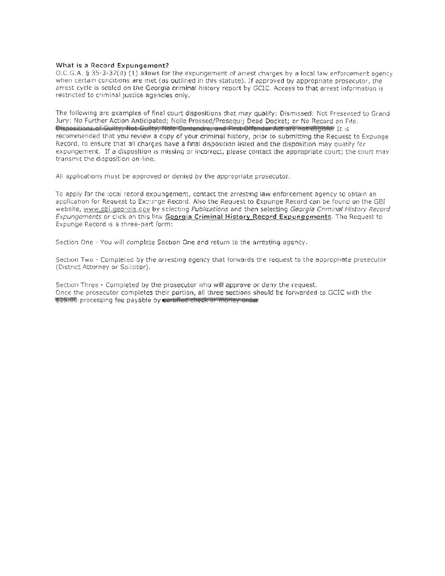#### What is a Record Expungement?

 $0.C.G.A.$  § 35-3-37(d) (1) allows for the expungement of arrest charges by a local law enforcement agency when certain conditions are met (as outlined in this statute). If approved by appropriate prosecutor, the arrest cycle is sealed on the Georgia criminal history report by GCIC. Access to that arrest information is restricted to criminal justice agencies only.

The following are examples of final court dispositions that may qualify: Dismissed: Not Presented to Grand Jury: No Further Action Anticipated; Nolle Prossed/Prosequi; Dead Docket; or No Record on File. Dispositions of Guilty, Not Guilty, Noto Contendre, and First Offender Act are not chaible. It is recommended that you review a copy of your criminal history, prior to submitting the Request to Expunge Record, to ensure that all charges have a final disposition listed and the disposition may qualify for expungement. If a disposition is missing or incorrect, please contact the appropriate court; the court may transmit the disposition on-line.

All applications must be approved or denied by the appropriate prosecutor.

To apply for the local record expungement, contact the arresting law enforcement agency to obtain an application for Request to Expunge Record, Also the Request to Expunge Record can be found on the GBI website, www.gbi.georgia.gov by selecting Publications and then selecting Georgia Criminal History Record Expungements or click on this link Georgia Criminal History Record Expungements. The Request to Expunge Record is a three-part form:

Section One - You will complete Section One and return to the arresting agency.

Section Two - Completed by the arresting agency that forwards the request to the appropriate prosecutor (District Attorney or Solicitor).

Section Three - Completed by the prosecutor who will approve or deny the request. Once the prosecutor completes their portion, all three sections should be forwarded to GCIC with the \$25.00 processing fee payable by certified check or money order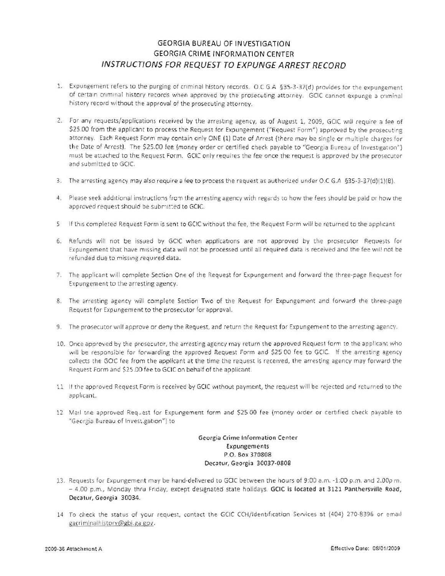# GEORGIA BUREAU OF INVESTIGATION GEORGIA CRIME INFORMATION CENTER INSTRUCT/ONS FOR REQUEST TO EXPUNGE ARREST RECORD

- 1. Expungement refers to the purging of criminal history records. O.C G.A §35-3-37(d) provides for the expungement of certain criminal history records when approved by the prosecuting attorney. GCIC cannot expunge a criminal history record without the approval of the prosecuting attorney.
- 2. For any requests/applications received by the arresting agency, as of August 1, 2009, GCIC will require a fee of \$25.00 from the applicant to process the Request for Expungement ("Request Form") approved by the prosecuting attorney. Each Request Form may contain only ONE (1) Date of Arrest (there may be single or multiple charges for the Date of Arrest). The \$25.00 fee (money order or certified check payable to "Georgia Bureau of Investigation") must be attached to the Request Form. GCIC only requires the fee once the request is approved by the prosecutor and submitted to GClC.
- 3. The arresting agency may also require a fee to process the request as authorized under O.C G.A §35-3-37(d)(1)(B).
- 4. Please seek additional instructions from the arresting agency with regards to how the fees should be paid or how the approved request should be submitted to GCIC.
- 5 If this completed Request Form is sent to GCIC without the fee, the Request Form will be returned to the applicant
- 6. Refunds will not be issued by GCIC when applications are not approved by the prosecutor Requests for Expungement that have missing data will not be processed until all required data is received and the fee will not be refunded due to missing required data.
- 7. The applicant will complete Section One of the Request for Expungement and forward the three-page Request for Expungement to the arresting agency.
- 8. The arresting agency will complete Section Two of the Request for Expungement and forward the three-page Request for Expungement to the prosecutor for approval.
- 9. The prosecutor will approve or deny the Request, and return the Request for Expungement to the arresting agency.
- 10. Once approved by the prosecutor, the arresting agency may return the approved Request form to the applicant who will be responsible for forwarding the approved Request Form and \$25 00 fee to GCIC. If the arresting agency collects the GCIC fee from the applicant at the time the request is received, the arresting agency may forward the Request Form and \$25,00 fee to GCIC on behalf of the applicant.
- 11 If the approved Request Form is received by GCIC without payment, the request will be rejected and returned to the applicant.
- 12 Mail tne approved Request for Expungement form and \$25.00 fee (money order or certified check payable to "Georgia Bureau of Investigation") to

Georgia Crime Information Cenler **Expungements** P.O. Box 370808 Decatur, Georgia 30037-0808

- 13. Requests for Expungement may be hand-delivered to GCIC between the hours of 9:00 a.m. -1:00 p.m. and 2,00p m. - 4.00 p.m., Monday thru Friday, except designated state holidays. GCIC is located at 3121 Panthersville Road, De catur, Georgia 30034.
- 14 To check the status of your request, contact the GCIC CCH/Identification Services at (404) 270-8396 or email gacriminalhistory@gbi.ga eov.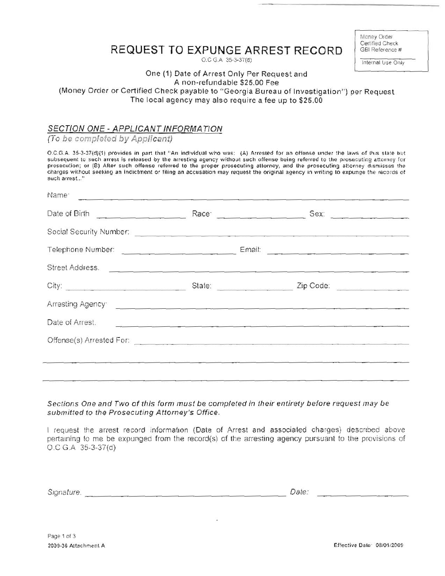#### Money Order Certified Check GBI Reference #

Internal Use Only

# REQUEST TO EXPUNGE ARREST RECORD

O.C G.A 35-3-37(d)

#### One (1) Date of Arrest Only Per Request and A non-refundable \$25.00 Fee (Money Order or Certified Check payable to "Georgia Bureau of Investigation") per Request The local agency may also require a fee up to \$25.00

## SECTION ONE - APPLICANT INFORMATION

(To be completed by Applicant)

50g

O.C.G.A. 35-3-37(d)(1) provides in part that "An individual who was: (A) Arrested for an offense under the laws of this state but subsequent to such arrest is released by the arresting agency without such offense being referred to the prosecuting attorney for prosecution; or (B) After such offense referred to the proper prosecuting attorney, and the prosecuting attorney dismisses the charges without seeking an indictment or filing an accusation may request the original agency in writing to expunge the records of such arrest..."

| Date of Birth                                                                                                                                                                                                                        |        |           |  |
|--------------------------------------------------------------------------------------------------------------------------------------------------------------------------------------------------------------------------------------|--------|-----------|--|
|                                                                                                                                                                                                                                      |        |           |  |
| Telephone Number: Communication of the Communication of the Communication of the Communication of the Communication                                                                                                                  |        |           |  |
| Street Address.                                                                                                                                                                                                                      |        |           |  |
| City:                                                                                                                                                                                                                                | State: | Zip Code: |  |
| Arresting Agency <b>Contract Contract Contract Contract Contract Contract Contract Contract Contract Contract Contract Contract Contract Contract Contract Contract Contract Contract Contract Contract Contract Contract Contra</b> |        |           |  |
| Date of Arrest.                                                                                                                                                                                                                      |        |           |  |
| Offense(s) Arrested For: 2008 - 2009 - 2009 - 2009 - 2009 - 2009 - 2009 - 2009 - 2009 - 2009 - 2009 - 2009 - 2009 - 2009 - 2009 - 2009 - 2009 - 2009 - 2009 - 2009 - 2009 - 2009 - 2009 - 2009 - 2009 - 2009 - 2009 - 2009 - 2       |        |           |  |
|                                                                                                                                                                                                                                      |        |           |  |
|                                                                                                                                                                                                                                      |        |           |  |

Sections One and Two of this form must be completed in their entirety before request may be submitted to the Prosecuting Attorney's Office.

I request the arrest record information (Date of Arrest and associated charges) described above pertaining to me be expunged from the record(s) of the arresting agency pursuant to the provisions of  $O.C. G.A. 35-3-37(d)$ 

Signature. Date: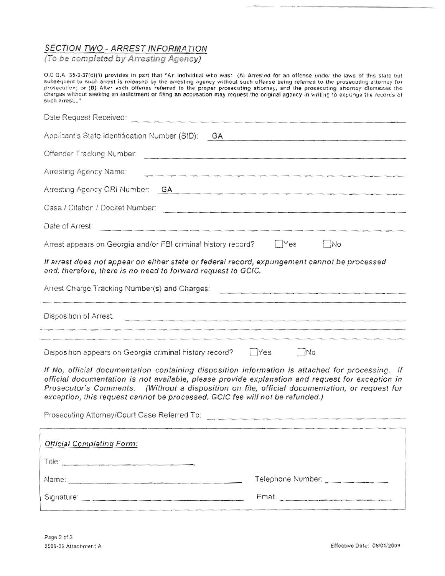# SECTION TWO - ARREST INFORMATION<br>(To be completed by Arresting Agency)

O.C G.A. 35-3-37(d)(1) provides in part that "An individual who was: (A) Arrested for an offense under the laws of this state but subsequent to such arrest is released by the arresting agency without such offense being referred to the prosecuting attorney for<br>prosecution; or (8) After such offense referred to the proper prosecuting attorney, and the charges without seeking an indictment or filing an accusation may request the original agency in writing to expunge the records of such arrest..."

| Date Request Received:                                                                                                                                                                                                                                                                                                                                                                                                                                                                 |  |  |  |  |
|----------------------------------------------------------------------------------------------------------------------------------------------------------------------------------------------------------------------------------------------------------------------------------------------------------------------------------------------------------------------------------------------------------------------------------------------------------------------------------------|--|--|--|--|
| Applicant's State Identification Number (SID):<br>GA                                                                                                                                                                                                                                                                                                                                                                                                                                   |  |  |  |  |
| Offender Tracking Number:                                                                                                                                                                                                                                                                                                                                                                                                                                                              |  |  |  |  |
| Arresting Agency Name:                                                                                                                                                                                                                                                                                                                                                                                                                                                                 |  |  |  |  |
| Arresting Agency ORI Number: GA CARE ALL CONTRACT CONTRACT CONTRACT OF CARE AND ACCOUNT OF CARE AND ACCOUNT OF CARE AND ACCOUNT OF CARE AND A CARE AND A CARE AND A CARE AND A CARE AND A CARE AND A CARE AND A CARE AND A CAR                                                                                                                                                                                                                                                         |  |  |  |  |
|                                                                                                                                                                                                                                                                                                                                                                                                                                                                                        |  |  |  |  |
| Date of Arrest <sup>®</sup>                                                                                                                                                                                                                                                                                                                                                                                                                                                            |  |  |  |  |
| <b>No</b><br>Arrest appears on Georgia and/or FBI criminal history record?<br>$\sqrt{Y}$ es                                                                                                                                                                                                                                                                                                                                                                                            |  |  |  |  |
| If arrest does not appear on either state or federal record, expungement cannot be processed<br>and, therefore, there is no need to forward request to GCIC.                                                                                                                                                                                                                                                                                                                           |  |  |  |  |
| Arrest Charge Tracking Number(s) and Charges:                                                                                                                                                                                                                                                                                                                                                                                                                                          |  |  |  |  |
| Disposition of Arrest.<br><u> 1989년 1989년 1989년 1989년 1989년 1989년 1989년 1989년 1989년 1989년 1989년 1989년 1989년 1989년 1989</u>                                                                                                                                                                                                                                                                                                                                                             |  |  |  |  |
|                                                                                                                                                                                                                                                                                                                                                                                                                                                                                        |  |  |  |  |
| $\Box$ No<br>Disposition appears on Georgia criminal history record?<br><b>Yes</b>                                                                                                                                                                                                                                                                                                                                                                                                     |  |  |  |  |
| If No, official documentation containing disposition information is attached for processing. If<br>official documentation is not available, please provide explanation and request for exception in<br>Prosecutor's Comments. (Without a disposition on file, official documentation, or request for<br>exception, this request cannot be processed. GCIC fee will not be refunded.)<br>Prosecuting Attorney/Court Case Referred To: [19] Prosecuting Attorney/Court Case Referred To: |  |  |  |  |
| <b>Official Completing Form:</b>                                                                                                                                                                                                                                                                                                                                                                                                                                                       |  |  |  |  |
| Title 2008 - 2008 - 2009 - 2009 - 2009 - 2009 - 2009 - 2009 - 2009 - 2009 - 2009 - 2009 - 2009 - 2009 - 2009 - 2009 - 2009 - 2009 - 2009 - 2009 - 2009 - 2009 - 2009 - 2009 - 2009 - 2009 - 2009 - 2009 - 2009 - 2009 - 2009 -                                                                                                                                                                                                                                                         |  |  |  |  |
| Telephone Number:                                                                                                                                                                                                                                                                                                                                                                                                                                                                      |  |  |  |  |
| Signature and the company of the state of the state of the state of the state of the state of the state of the                                                                                                                                                                                                                                                                                                                                                                         |  |  |  |  |